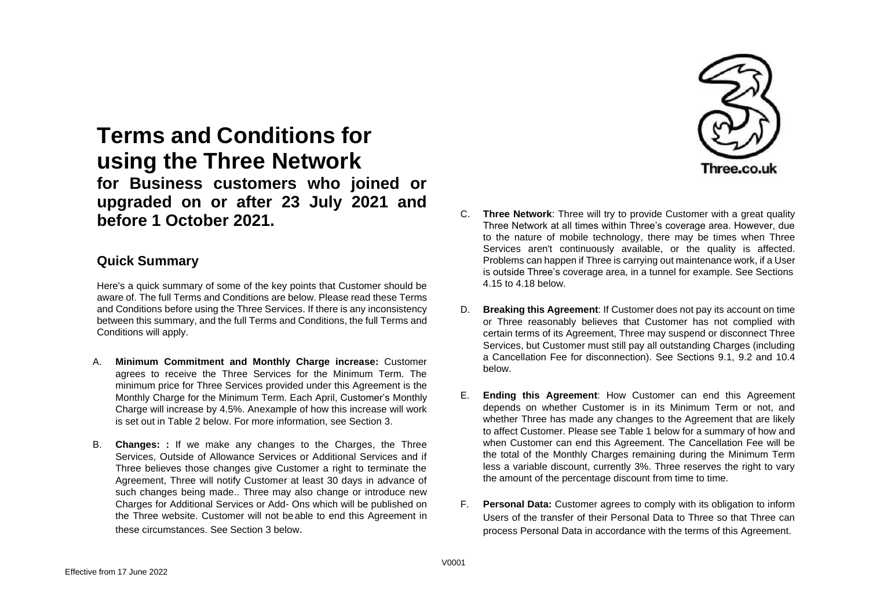# **Terms and Conditions for using the Three Network**

**for Business customers who joined or upgraded on or after 23 July 2021 and before 1 October 2021.**

### **Quick Summary**

Here's a quick summary of some of the key points that Customer should be aware of. The full Terms and Conditions are below. Please read these Terms and Conditions before using the Three Services. If there is any inconsistency between this summary, and the full Terms and Conditions, the full Terms and Conditions will apply.

- A. **Minimum Commitment and Monthly Charge increase:** Customer agrees to receive the Three Services for the Minimum Term. The minimum price for Three Services provided under this Agreement is the Monthly Charge for the Minimum Term. Each April, Customer's Monthly Charge will increase by 4.5%. Anexample of how this increase will work is set out in Table 2 below. For more information, see Section 3.
- B. **Changes: :** If we make any changes to the Charges, the Three Services, Outside of Allowance Services or Additional Services and if Three believes those changes give Customer a right to terminate the Agreement, Three will notify Customer at least 30 days in advance of such changes being made.. Three may also change or introduce new Charges for Additional Services or Add- Ons which will be published on the Three website. Customer will not beable to end this Agreement in these circumstances. See Section 3 below.



- C. **Three Network**: Three will try to provide Customer with a great quality Three Network at all times within Three's coverage area. However, due to the nature of mobile technology, there may be times when Three Services aren't continuously available, or the quality is affected. Problems can happen if Three is carrying out maintenance work, if a User is outside Three's coverage area, in a tunnel for example. See Sections [4.15](#page-4-0) to [4.18 b](#page-4-1)elow.
- D. **Breaking this Agreement**: If Customer does not pay its account on time or Three reasonably believes that Customer has not complied with certain terms of its Agreement, Three may suspend or disconnect Three Services, but Customer must still pay all outstanding Charges (including a Cancellation Fee for disconnection). See Sections 9.1, [9.2 a](#page-7-0)nd [10.4](#page-8-0) below.
- E. **Ending this Agreement**: How Customer can end this Agreement depends on whether Customer is in its Minimum Term or not, and whether Three has made any changes to the Agreement that are likely to affect Customer. Please see Table 1 below for a summary of how and when Customer can end this Agreement. The Cancellation Fee will be the total of the Monthly Charges remaining during the Minimum Term less a variable discount, currently 3%. Three reserves the right to vary the amount of the percentage discount from time to time.
- F. **Personal Data:** Customer agrees to comply with its obligation to inform Users of the transfer of their Personal Data to Three so that Three can process Personal Data in accordance with the terms of this Agreement.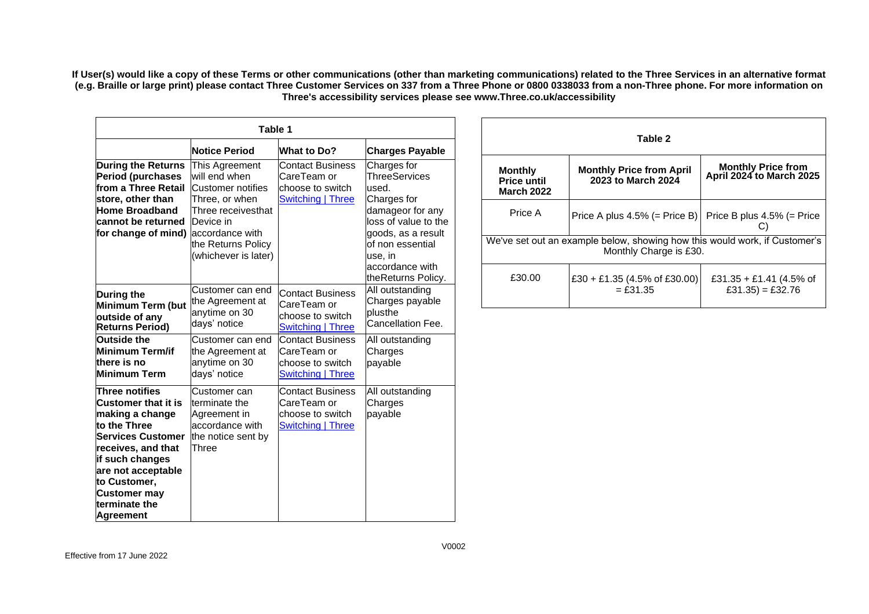**If User(s) would like a copy of these Terms or other communications (other than marketing communications) related to the Three Services in an alternative format** (e.g. Braille or large print) please contact Three Customer Services on 337 from a Three Phone or 0800 0338033 from a non-Three phone. For more information on **Three's accessibility services please see [www.Three.co.uk/accessibility](http://www.three.co.uk/accessibility)**

| Table 1                                                                                                                                                                                                                                                |                                                                                                                                                                             |                                                                                        |                                                                                                                                                                                                       |
|--------------------------------------------------------------------------------------------------------------------------------------------------------------------------------------------------------------------------------------------------------|-----------------------------------------------------------------------------------------------------------------------------------------------------------------------------|----------------------------------------------------------------------------------------|-------------------------------------------------------------------------------------------------------------------------------------------------------------------------------------------------------|
|                                                                                                                                                                                                                                                        | <b>Notice Period</b>                                                                                                                                                        | <b>What to Do?</b>                                                                     | Charges Payable                                                                                                                                                                                       |
| <b>During the Returns</b><br><b>Period (purchases</b><br>from a Three Retail<br>store, other than<br><b>Home Broadband</b><br>cannot be returned<br>for change of mind)                                                                                | This Agreement<br>will end when<br>Customer notifies<br>Three, or when<br>Three receivesthat<br>Device in<br>laccordance with<br>the Returns Policy<br>(whichever is later) | Contact Business<br>CareTeam or<br>choose to switch<br>Switching   Three               | Charges for<br><b>ThreeServices</b><br>used.<br>Charges for<br>damageor for any<br>loss of value to the<br>goods, as a result<br>of non essential<br>use, in<br>accordance with<br>theReturns Policy. |
| <b>During the</b><br><b>Minimum Term (but</b><br>outside of any<br><b>Returns Period)</b>                                                                                                                                                              | Customer can end<br>the Agreement at<br>anytime on 30<br>days' notice                                                                                                       | <b>Contact Business</b><br>CareTeam or<br>choose to switch<br><b>Switching   Three</b> | All outstanding<br>Charges payable<br>plusthe<br>Cancellation Fee.                                                                                                                                    |
| Outside the<br><b>Minimum Term/if</b><br>there is no<br><b>Minimum Term</b>                                                                                                                                                                            | Customer can end<br>the Agreement at<br>anytime on 30<br>days' notice                                                                                                       | Contact Business<br>CareTeam or<br>choose to switch<br>Switching   Three               | All outstanding<br>Charges<br>payable                                                                                                                                                                 |
| <b>Three notifies</b><br><b>Customer that it is</b><br>making a change<br>to the Three<br><b>Services Customer</b><br>receives, and that<br>if such changes<br>are not acceptable<br>to Customer,<br><b>Customer may</b><br>terminate the<br>Agreement | Customer can<br>terminate the<br>Agreement in<br>accordance with<br>the notice sent by<br>Three                                                                             | <b>Contact Business</b><br>CareTeam or<br>choose to switch<br><b>Switching   Three</b> | All outstanding<br>Charges<br>payable                                                                                                                                                                 |

| Table 2                                                                                              |                                                       |                                                |  |  |
|------------------------------------------------------------------------------------------------------|-------------------------------------------------------|------------------------------------------------|--|--|
| <b>Monthly</b><br><b>Price until</b><br><b>March 2022</b>                                            | <b>Monthly Price from April</b><br>2023 to March 2024 | Monthly Price from<br>April 2024 to March 2025 |  |  |
| Price A                                                                                              | Price A plus $4.5\%$ (= Price B)                      | Price B plus 4.5% (= Price                     |  |  |
| We've set out an example below, showing how this would work, if Customer's<br>Monthly Charge is £30. |                                                       |                                                |  |  |
| £30.00                                                                                               | £30 + £1.35 (4.5% of £30.00)<br>$=$ £31.35            | £31.35 + £1.41 (4.5% of<br>£31.35) = £32.76    |  |  |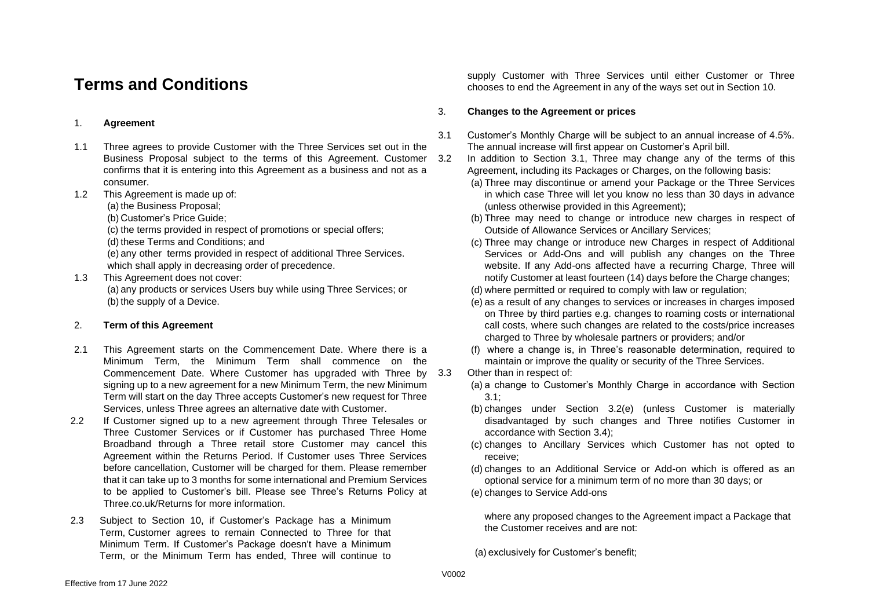# **Terms and Conditions**

#### 1. **Agreement**

- 1.1 Three agrees to provide Customer with the Three Services set out in the Business Proposal subject to the terms of this Agreement. Customer 3.2 confirms that it is entering into this Agreement as a business and not as a consumer.
- 1.2 This Agreement is made up of:
	- (a) the Business Proposal;
	- (b) Customer's Price Guide;

(c) the terms provided in respect of promotions or special offers;

(d) these Terms and Conditions; and

(e) any other terms provided in respect of additional Three Services. which shall apply in decreasing order of precedence.

1.3 This Agreement does not cover: (a) any products or services Users buy while using Three Services; or (b) the supply of a Device.

#### 2. **Term of this Agreement**

- 2.1 This Agreement starts on the Commencement Date. Where there is a Minimum Term, the Minimum Term shall commence on the Commencement Date. Where Customer has upgraded with Three by signing up to a new agreement for a new Minimum Term, the new Minimum Term will start on the day Three accepts Customer's new request for Three Services, unless Three agrees an alternative date with Customer.
- 2.2 If Customer signed up to a new agreement through Three Telesales or Three Customer Services or if Customer has purchased Three Home Broadband through a Three retail store Customer may cancel this Agreement within the Returns Period. If Customer uses Three Services before cancellation, Customer will be charged for them. Please remember that it can take up to 3 months for some international and Premium Services to be applied to Customer's bill. Please see Three's Returns Policy at Three.co.uk/Returns for more information.
- 2.3 Subject to Section 10, if Customer's Package has a Minimum Term, Customer agrees to remain Connected to Three for that Minimum Term. If Customer's Package doesn't have a Minimum Term, or the Minimum Term has ended, Three will continue to

supply Customer with Three Services until either Customer or Three chooses to end the Agreement in any of the ways set out in Section 10.

#### 3. **Changes to the Agreement or prices**

- <span id="page-2-0"></span>3.1 Customer's Monthly Charge will be subject to an annual increase of 4.5%. The annual increase will first appear on Customer's April bill.
	- In addition to Section 3.1, Three may change any of the terms of this Agreement, including its Packages or Charges, on the following basis:
		- (a) Three may discontinue or amend your Package or the Three Services in which case Three will let you know no less than 30 days in advance (unless otherwise provided in this Agreement);
		- (b) Three may need to change or introduce new charges in respect of Outside of Allowance Services or Ancillary Services;
		- (c) Three may change or introduce new Charges in respect of Additional Services or Add-Ons and will publish any changes on the Three website. If any Add-ons affected have a recurring Charge, Three will notify Customer at least fourteen (14) days before the Charge changes;
		- (d) where permitted or required to comply with law or regulation;
		- (e) as a result of any changes to services or increases in charges imposed on Three by third parties e.g. changes to roaming costs or international call costs, where such changes are related to the costs/price increases charged to Three by wholesale partners or providers; and/or
		- (f) where a change is, in Three's reasonable determination, required to maintain or improve the quality or security of the Three Services.
	- Other than in respect of:
		- (a) a change to Customer's Monthly Charge in accordance with Section [3.1;](#page-2-0)
		- (b) changes under Section 3.2(e) (unless Customer is materially disadvantaged by such changes and Three notifies Customer in accordance with Section [3.4\)](#page-3-0);
		- (c) changes to Ancillary Services which Customer has not opted to receive;
		- (d) changes to an Additional Service or Add-on which is offered as an optional service for a minimum term of no more than 30 days; or
		- (e) changes to Service Add-ons

<span id="page-2-1"></span>where any proposed changes to the Agreement impact a Package that the Customer receives and are not:

(a) exclusively for Customer's benefit;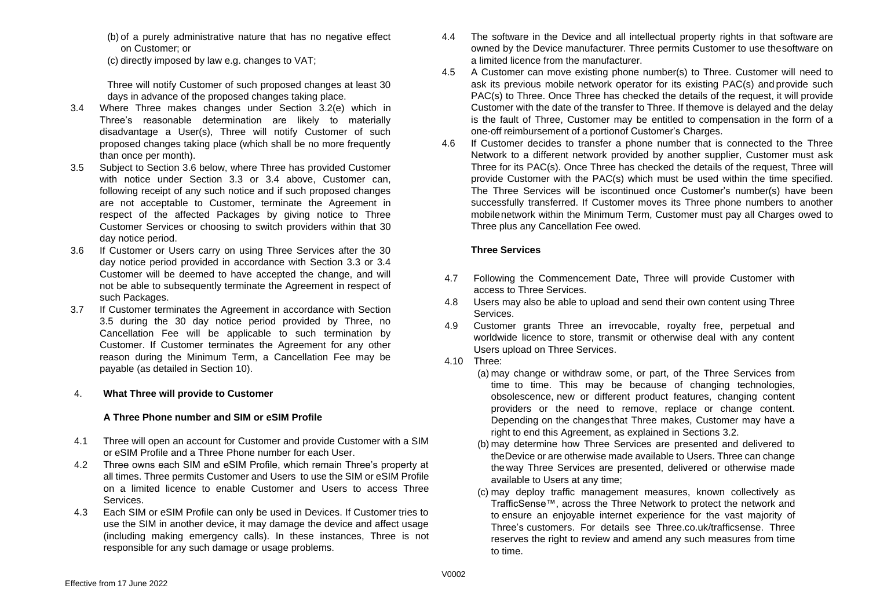(b) of a purely administrative nature that has no negative effect on Customer; or

(c) directly imposed by law e.g. changes to VAT;

Three will notify Customer of such proposed changes at least 30 days in advance of the proposed changes taking place.

- <span id="page-3-0"></span>3.4 Where Three makes changes under Section 3.2(e) which in Three's reasonable determination are likely to materially disadvantage a User(s), Three will notify Customer of such proposed changes taking place (which shall be no more frequently than once per month).
- <span id="page-3-2"></span>3.5 Subject to Section [3.6](#page-3-1) below, where Three has provided Customer with notice under Section [3.3](#page-2-1) or [3.4](#page-3-0) above, Customer can, following receipt of any such notice and if such proposed changes are not acceptable to Customer, terminate the Agreement in respect of the affected Packages by giving notice to Three Customer Services or choosing to switch providers within that 30 day notice period.
- <span id="page-3-1"></span>3.6 If Customer or Users carry on using Three Services after the 30 day notice period provided in accordance with Section [3.3](#page-2-1) or [3.4](#page-3-0) Customer will be deemed to have accepted the change, and will not be able to subsequently terminate the Agreement in respect of such Packages.
- 3.7 If Customer terminates the Agreement in accordance with Section [3.5](#page-3-2) during the 30 day notice period provided by Three, no Cancellation Fee will be applicable to such termination by Customer. If Customer terminates the Agreement for any other reason during the Minimum Term, a Cancellation Fee may be payable (as detailed in Section 10).

#### 4. **What Three will provide to Customer**

#### **A Three Phone number and SIM or eSIM Profile**

- 4.1 Three will open an account for Customer and provide Customer with a SIM or eSIM Profile and a Three Phone number for each User.
- 4.2 Three owns each SIM and eSIM Profile, which remain Three's property at all times. Three permits Customer and Users to use the SIM or eSIM Profile on a limited licence to enable Customer and Users to access Three Services.
- 4.3 Each SIM or eSIM Profile can only be used in Devices. If Customer tries to use the SIM in another device, it may damage the device and affect usage (including making emergency calls). In these instances, Three is not responsible for any such damage or usage problems.
- 4.4 The software in the Device and all intellectual property rights in that software are owned by the Device manufacturer. Three permits Customer to use thesoftware on a limited licence from the manufacturer.
- 4.5 A Customer can move existing phone number(s) to Three. Customer will need to ask its previous mobile network operator for its existing PAC(s) and provide such PAC(s) to Three. Once Three has checked the details of the request, it will provide Customer with the date of the transfer to Three. If themove is delayed and the delay is the fault of Three, Customer may be entitled to compensation in the form of a one-off reimbursement of a portionof Customer's Charges.
- 4.6 If Customer decides to transfer a phone number that is connected to the Three Network to a different network provided by another supplier, Customer must ask Three for its PAC(s). Once Three has checked the details of the request, Three will provide Customer with the PAC(s) which must be used within the time specified. The Three Services will be iscontinued once Customer's number(s) have been successfully transferred. If Customer moves its Three phone numbers to another mobilenetwork within the Minimum Term, Customer must pay all Charges owed to Three plus any Cancellation Fee owed.

#### **Three Services**

- 4.7 Following the Commencement Date, Three will provide Customer with access to Three Services.
- 4.8 Users may also be able to upload and send their own content using Three Services.
- 4.9 Customer grants Three an irrevocable, royalty free, perpetual and worldwide licence to store, transmit or otherwise deal with any content Users upload on Three Services.
- 4.10 Three:
	- (a) may change or withdraw some, or part, of the Three Services from time to time. This may be because of changing technologies, obsolescence, new or different product features, changing content providers or the need to remove, replace or change content. Depending on the changesthat Three makes, Customer may have a right to end this Agreement, as explained in Sections 3.2.
	- (b) may determine how Three Services are presented and delivered to theDevice or are otherwise made available to Users. Three can change the way Three Services are presented, delivered or otherwise made available to Users at any time;
	- (c) may deploy traffic management measures, known collectively as TrafficSense™, across the Three Network to protect the network and to ensure an enjoyable internet experience for the vast majority of Three's customers. For details see Three.co.uk/trafficsense. Three reserves the right to review and amend any such measures from time to time.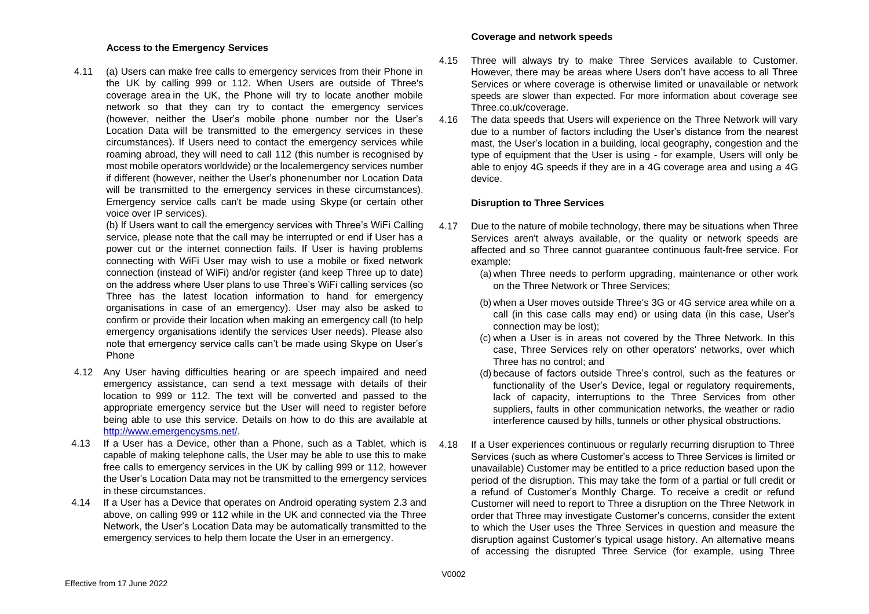#### **Access to the Emergency Services**

4.11 (a) Users can make free calls to emergency services from their Phone in the UK by calling 999 or 112. When Users are outside of Three's coverage area in the UK, the Phone will try to locate another mobile network so that they can try to contact the emergency services (however, neither the User's mobile phone number nor the User's Location Data will be transmitted to the emergency services in these circumstances). If Users need to contact the emergency services while roaming abroad, they will need to call 112 (this number is recognised by most mobile operators worldwide) or the localemergency services number if different (however, neither the User's phonenumber nor Location Data will be transmitted to the emergency services in these circumstances). Emergency service calls can't be made using Skype (or certain other voice over IP services).

(b) If Users want to call the emergency services with Three's WiFi Calling service, please note that the call may be interrupted or end if User has a power cut or the internet connection fails. If User is having problems connecting with WiFi User may wish to use a mobile or fixed network connection (instead of WiFi) and/or register (and keep Three up to date) on the address where User plans to use Three's WiFi calling services (so Three has the latest location information to hand for emergency organisations in case of an emergency). User may also be asked to confirm or provide their location when making an emergency call (to help emergency organisations identify the services User needs). Please also note that emergency service calls can't be made using Skype on User's Phone

- 4.12 Any User having difficulties hearing or are speech impaired and need emergency assistance, can send a text message with details of their location to 999 or 112. The text will be converted and passed to the appropriate emergency service but the User will need to register before being able to use this service. Details on how to do this are available [at](http://www.emergencysms.org.uk/) [http://www.emergencysms.net/.](http://www.emergencysms.net/)
- 4.13 If a User has a Device, other than a Phone, such as a Tablet, which is capable of making telephone calls, the User may be able to use this to make free calls to emergency services in the UK by calling 999 or 112, however the User's Location Data may not be transmitted to the emergency services in these circumstances.
- 4.14 If a User has a Device that operates on Android operating system 2.3 and above, on calling 999 or 112 while in the UK and connected via the Three Network, the User's Location Data may be automatically transmitted to the emergency services to help them locate the User in an emergency.

#### **Coverage and network speeds**

- <span id="page-4-0"></span>4.15 Three will always try to make Three Services available to Customer. However, there may be areas where Users don't have access to all Three Services or where coverage is otherwise limited or unavailable or network speeds are slower than expected. For more information about coverage see Three.co.uk/coverage.
- 4.16 The data speeds that Users will experience on the Three Network will vary due to a number of factors including the User's distance from the nearest mast, the User's location in a building, local geography, congestion and the type of equipment that the User is using - for example, Users will only be able to enjoy 4G speeds if they are in a 4G coverage area and using a 4G device.

#### **Disruption to Three Services**

- 4.17 Due to the nature of mobile technology, there may be situations when Three Services aren't always available, or the quality or network speeds are affected and so Three cannot guarantee continuous fault-free service. For example:
	- (a) when Three needs to perform upgrading, maintenance or other work on the Three Network or Three Services;
	- (b) when a User moves outside Three's 3G or 4G service area while on a call (in this case calls may end) or using data (in this case, User's connection may be lost);
	- (c) when a User is in areas not covered by the Three Network. In this case, Three Services rely on other operators' networks, over which Three has no control; and
	- (d) because of factors outside Three's control, such as the features or functionality of the User's Device, legal or regulatory requirements, lack of capacity, interruptions to the Three Services from other suppliers, faults in other communication networks, the weather or radio interference caused by hills, tunnels or other physical obstructions.
- <span id="page-4-1"></span>4.18 If a User experiences continuous or regularly recurring disruption to Three Services (such as where Customer's access to Three Services is limited or unavailable) Customer may be entitled to a price reduction based upon the period of the disruption. This may take the form of a partial or full credit or a refund of Customer's Monthly Charge. To receive a credit or refund Customer will need to report to Three a disruption on the Three Network in order that Three may investigate Customer's concerns, consider the extent to which the User uses the Three Services in question and measure the disruption against Customer's typical usage history. An alternative means of accessing the disrupted Three Service (for example, using Three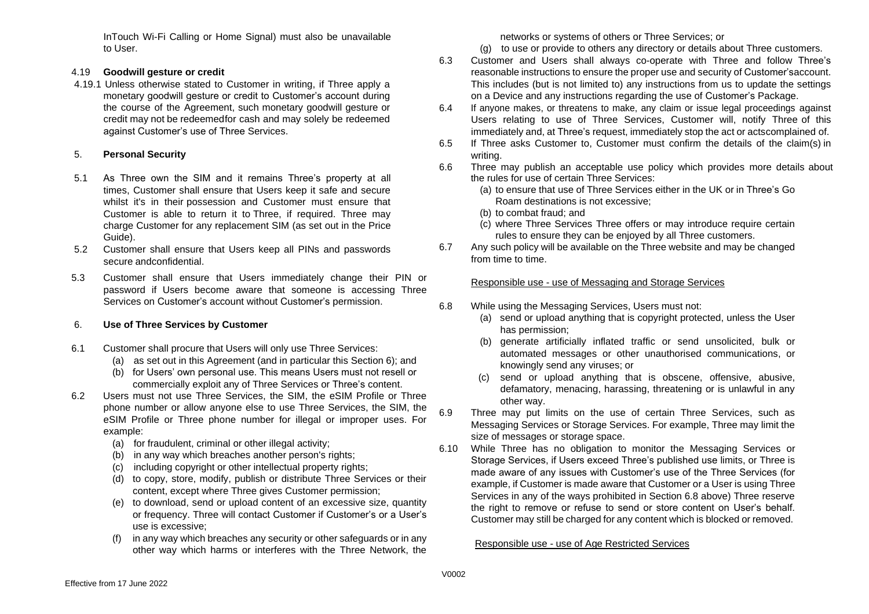InTouch Wi-Fi Calling or Home Signal) must also be unavailable to User.

#### 4.19 **Goodwill gesture or credit**

4.19.1 Unless otherwise stated to Customer in writing, if Three apply a monetary goodwill gesture or credit to Customer's account during the course of the Agreement, such monetary goodwill gesture or credit may not be redeemedfor cash and may solely be redeemed against Customer's use of Three Services.

#### 5. **Personal Security**

- 5.1 As Three own the SIM and it remains Three's property at all times, Customer shall ensure that Users keep it safe and secure whilst it's in their possession and Customer must ensure that Customer is able to return it to Three, if required. Three may charge Customer for any replacement SIM (as set out in the Price Guide).
- 5.2 Customer shall ensure that Users keep all PINs and passwords secure andconfidential.
- 5.3 Customer shall ensure that Users immediately change their PIN or password if Users become aware that someone is accessing Three Services on Customer's account without Customer's permission.

#### 6. **Use of Three Services by Customer**

- 6.1 Customer shall procure that Users will only use Three Services:
	- (a) as set out in this Agreement (and in particular this Section [6\)](#page-6-0); and
	- (b) for Users' own personal use. This means Users must not resell or commercially exploit any of Three Services or Three's content.
- 6.2 Users must not use Three Services, the SIM, the eSIM Profile or Three phone number or allow anyone else to use Three Services, the SIM, the eSIM Profile or Three phone number for illegal or improper uses. For example:
	- (a) for fraudulent, criminal or other illegal activity;
	- (b) in any way which breaches another person's rights;
	- (c) including copyright or other intellectual property rights;
	- (d) to copy, store, modify, publish or distribute Three Services or their content, except where Three gives Customer permission;
	- (e) to download, send or upload content of an excessive size, quantity or frequency. Three will contact Customer if Customer's or a User's use is excessive;
	- (f) in any way which breaches any security or other safeguards or in any other way which harms or interferes with the Three Network, the

networks or systems of others or Three Services; or

(g) to use or provide to others any directory or details about Three customers.

- 6.3 Customer and Users shall always co-operate with Three and follow Three's reasonable instructions to ensure the proper use and security of Customer'saccount. This includes (but is not limited to) any instructions from us to update the settings on a Device and any instructions regarding the use of Customer's Package.
- 6.4 If anyone makes, or threatens to make, any claim or issue legal proceedings against Users relating to use of Three Services, Customer will, notify Three of this immediately and, at Three's request, immediately stop the act or actscomplained of.
- 6.5 If Three asks Customer to, Customer must confirm the details of the claim(s) in writing.
- 6.6 Three may publish an acceptable use policy which provides more details about the rules for use of certain Three Services:
	- (a) to ensure that use of Three Services either in the UK or in Three's Go Roam destinations is not excessive;
	- (b) to combat fraud; and
	- (c) where Three Services Three offers or may introduce require certain rules to ensure they can be enjoyed by all Three customers.
- 6.7 Any such policy will be available on the Three website and may be changed from time to time.

#### Responsible use - use of Messaging and Storage Services

- 6.8 While using the Messaging Services, Users must not:
	- (a) send or upload anything that is copyright protected, unless the User has permission;
	- (b) generate artificially inflated traffic or send unsolicited, bulk or automated messages or other unauthorised communications, or knowingly send any viruses; or
	- (c) send or upload anything that is obscene, offensive, abusive, defamatory, menacing, harassing, threatening or is unlawful in any other way.
- 6.9 Three may put limits on the use of certain Three Services, such as Messaging Services or Storage Services. For example, Three may limit the size of messages or storage space.
- 6.10 While Three has no obligation to monitor the Messaging Services or Storage Services, if Users exceed Three's published use limits, or Three is made aware of any issues with Customer's use of the Three Services (for example, if Customer is made aware that Customer or a User is using Three Services in any of the ways prohibited in Section 6.8 above) Three reserve the right to remove or refuse to send or store content on User's behalf. Customer may still be charged for any content which is blocked or removed.

#### Responsible use - use of Age Restricted Services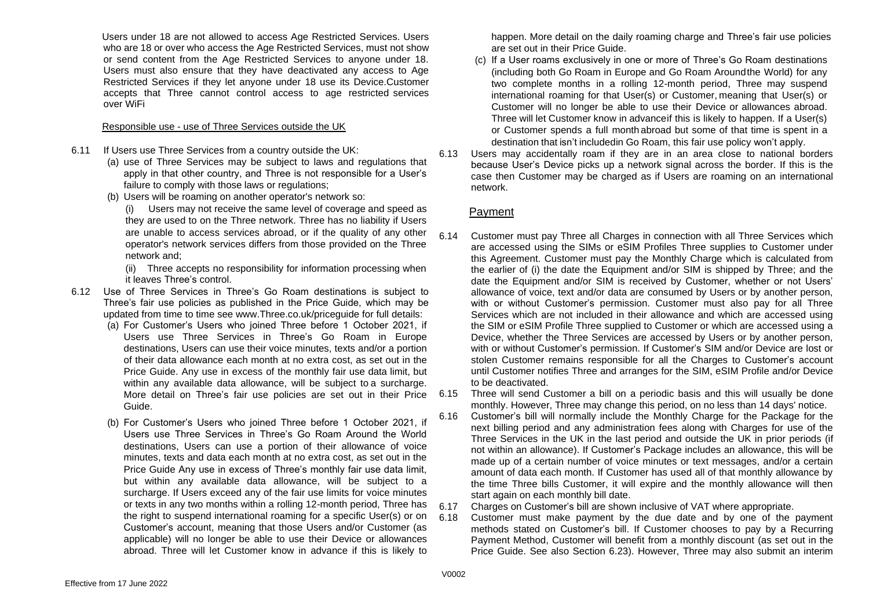Users under 18 are not allowed to access Age Restricted Services. Users who are 18 or over who access the Age Restricted Services, must not show or send content from the Age Restricted Services to anyone under 18. Users must also ensure that they have deactivated any access to Age Restricted Services if they let anyone under 18 use its Device.Customer accepts that Three cannot control access to age restricted services over WiFi

#### Responsible use - use of Three Services outside the UK

- 6.11 If Users use Three Services from a country outside the UK:
	- (a) use of Three Services may be subject to laws and regulations that apply in that other country, and Three is not responsible for a User's failure to comply with those laws or regulations;
	- (b) Users will be roaming on another operator's network so:

(i) Users may not receive the same level of coverage and speed as they are used to on the Three network. Three has no liability if Users are unable to access services abroad, or if the quality of any other operator's network services differs from those provided on the Three network and;

(ii) Three accepts no responsibility for information processing when it leaves Three's control.

- <span id="page-6-0"></span>6.12 Use of Three Services in Three's Go Roam destinations is subject to Three's fair use policies as published in the Price Guide, which may be updated from time to time see [www.Three.co.uk/priceguide f](http://www.three.co.uk/priceguide)or full details:
	- (a) For Customer's Users who joined Three before 1 October 2021, if Users use Three Services in Three's Go Roam in Europe destinations, Users can use their voice minutes, texts and/or a portion of their data allowance each month at no extra cost, as set out in the Price Guide. Any use in excess of the monthly fair use data limit, but within any available data allowance, will be subject to a surcharge. More detail on Three's fair use policies are set out in their Price Guide.
	- (b) For Customer's Users who joined Three before 1 October 2021, if Users use Three Services in Three's Go Roam Around the World destinations, Users can use a portion of their allowance of voice minutes, texts and data each month at no extra cost, as set out in the Price Guide Any use in excess of Three's monthly fair use data limit, but within any available data allowance, will be subject to a surcharge. If Users exceed any of the fair use limits for voice minutes or texts in any two months within a rolling 12-month period, Three has the right to suspend international roaming for a specific User(s) or on Customer's account, meaning that those Users and/or Customer (as applicable) will no longer be able to use their Device or allowances abroad. Three will let Customer know in advance if this is likely to

happen. More detail on the daily roaming charge and Three's fair use policies are set out in their Price Guide.

- (c) If a User roams exclusively in one or more of Three's Go Roam destinations (including both Go Roam in Europe and Go Roam Aroundthe World) for any two complete months in a rolling 12-month period, Three may suspend international roaming for that User(s) or Customer, meaning that User(s) or Customer will no longer be able to use their Device or allowances abroad. Three will let Customer know in advanceif this is likely to happen. If a User(s) or Customer spends a full month abroad but some of that time is spent in a destination that isn't includedin Go Roam, this fair use policy won't apply.
- 6.13 Users may accidentally roam if they are in an area close to national borders because User's Device picks up a network signal across the border. If this is the case then Customer may be charged as if Users are roaming on an international network.

#### Payment

<span id="page-6-2"></span>6.14 Customer must pay Three all Charges in connection with all Three Services which are accessed using the SIMs or eSIM Profiles Three supplies to Customer under this Agreement. Customer must pay the Monthly Charge which is calculated from the earlier of (i) the date the Equipment and/or SIM is shipped by Three; and the date the Equipment and/or SIM is received by Customer, whether or not Users' allowance of voice, text and/or data are consumed by Users or by another person, with or without Customer's permission. Customer must also pay for all Three Services which are not included in their allowance and which are accessed using the SIM or eSIM Profile Three supplied to Customer or which are accessed using a Device, whether the Three Services are accessed by Users or by another person, with or without Customer's permission. If Customer's SIM and/or Device are lost or stolen Customer remains responsible for all the Charges to Customer's account until Customer notifies Three and arranges for the SIM, eSIM Profile and/or Device to be deactivated.

6.15 Three will send Customer a bill on a periodic basis and this will usually be done monthly. However, Three may change this period, on no less than 14 days' notice.

6.16 Customer's bill will normally include the Monthly Charge for the Package for the next billing period and any administration fees along with Charges for use of the Three Services in the UK in the last period and outside the UK in prior periods (if not within an allowance). If Customer's Package includes an allowance, this will be made up of a certain number of voice minutes or text messages, and/or a certain amount of data each month. If Customer has used all of that monthly allowance by the time Three bills Customer, it will expire and the monthly allowance will then start again on each monthly bill date.

6.17 Charges on Customer's bill are shown inclusive of VAT where appropriate.

<span id="page-6-1"></span>6.18 Customer must make payment by the due date and by one of the payment methods stated on Customer's bill. If Customer chooses to pay by a Recurring Payment Method, Customer will benefit from a monthly discount (as set out in the Price Guide. See also Section 6.23). However, Three may also submit an interim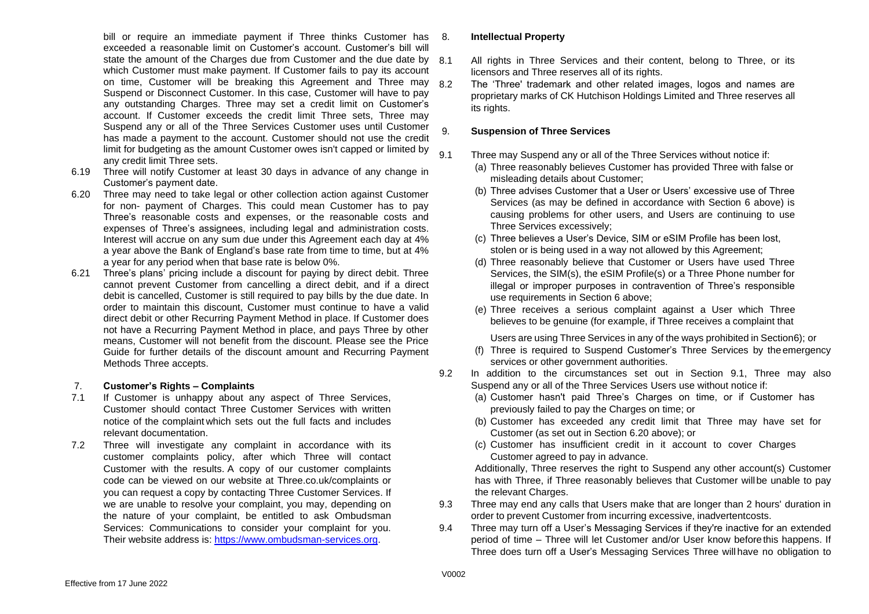bill or require an immediate payment if Three thinks Customer has 8. exceeded a reasonable limit on Customer's account. Customer's bill will state the amount of the Charges due from Customer and the due date by 8.1 which Customer must make payment. If Customer fails to pay its account on time, Customer will be breaking this Agreement and Three may 82 Suspend or Disconnect Customer. In this case, Customer will have to pay any outstanding Charges. Three may set a credit limit on Customer's account. If Customer exceeds the credit limit Three sets, Three may Suspend any or all of the Three Services Customer uses until Customer has made a payment to the account. Customer should not use the credit limit for budgeting as the amount Customer owes isn't capped or limited by any credit limit Three sets.

- 6.19 Three will notify Customer at least 30 days in advance of any change in Customer's payment date.
- 6.20 Three may need to take legal or other collection action against Customer for non- payment of Charges. This could mean Customer has to pay Three's reasonable costs and expenses, or the reasonable costs and expenses of Three's assignees, including legal and administration costs. Interest will accrue on any sum due under this Agreement each day at 4% a year above the Bank of England's base rate from time to time, but at 4% a year for any period when that base rate is below 0%.
- 6.21 Three's plans' pricing include a discount for paying by direct debit. Three cannot prevent Customer from cancelling a direct debit, and if a direct debit is cancelled, Customer is still required to pay bills by the due date. In order to maintain this discount, Customer must continue to have a valid direct debit or other Recurring Payment Method in place. If Customer does not have a Recurring Payment Method in place, and pays Three by other means, Customer will not benefit from the discount. Please see the Price Guide for further details of the discount amount and Recurring Payment Methods Three accepts.

#### 7. **Customer's Rights – Complaints**

- 7.1 If Customer is unhappy about any aspect of Three Services, Customer should contact Three Customer Services with written notice of the complaint which sets out the full facts and includes relevant documentation.
- 7.2 Three will investigate any complaint in accordance with its customer complaints policy, after which Three will contact Customer with the results. A copy of our customer complaints code can be viewed on our website at Three.co.uk/complaints or you can request a copy by contacting Three Customer Services. If we are unable to resolve your complaint, you may, depending on the nature of your complaint, be entitled to ask Ombudsman Services: Communications to consider your complaint for you. Their website address is: [https://www.ombudsman-services.org.](https://www.ombudsman-services.org/)

#### 8. **Intellectual Property**

- All rights in Three Services and their content, belong to Three, or its licensors and Three reserves all of its rights.
- The 'Three' trademark and other related images, logos and names are proprietary marks of CK Hutchison Holdings Limited and Three reserves all its rights.

#### 9. **Suspension of Three Services**

- 9.1 Three may Suspend any or all of the Three Services without notice if:
	- (a) Three reasonably believes Customer has provided Three with false or misleading details about Customer;
	- (b) Three advises Customer that a User or Users' excessive use of Three Services (as may be defined in accordance with Section 6 above) is causing problems for other users, and Users are continuing to use Three Services excessively;
	- (c) Three believes a User's Device, SIM or eSIM Profile has been lost, stolen or is being used in a way not allowed by this Agreement;
	- (d) Three reasonably believe that Customer or Users have used Three Services, the SIM(s), the eSIM Profile(s) or a Three Phone number for illegal or improper purposes in contravention of Three's responsible use requirements in Section 6 above;
	- (e) Three receives a serious complaint against a User which Three believes to be genuine (for example, if Three receives a complaint that

Users are using Three Services in any of the ways prohibited in Section6); or

- (f) Three is required to Suspend Customer's Three Services by the emergency services or other government authorities.
- <span id="page-7-0"></span>9.2 In addition to the circumstances set out in Section 9.1, Three may also Suspend any or all of the Three Services Users use without notice if:
	- (a) Customer hasn't paid Three's Charges on time, or if Customer has previously failed to pay the Charges on time; or
	- (b) Customer has exceeded any credit limit that Three may have set for Customer (as set out in Section [6.20 a](#page-6-1)bove); or
	- (c) Customer has insufficient credit in it account to cover Charges Customer agreed to pay in advance.

Additionally, Three reserves the right to Suspend any other account(s) Customer has with Three, if Three reasonably believes that Customer willbe unable to pay the relevant Charges.

- 9.3 Three may end any calls that Users make that are longer than 2 hours' duration in order to prevent Customer from incurring excessive, inadvertentcosts.
- 9.4 Three may turn off a User's Messaging Services if they're inactive for an extended period of time – Three will let Customer and/or User know beforethis happens. If Three does turn off a User's Messaging Services Three will have no obligation to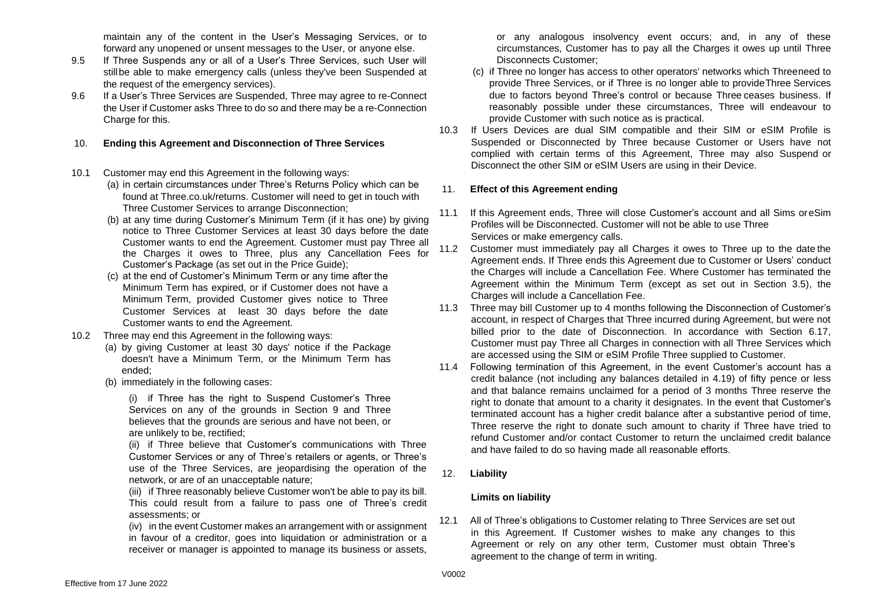maintain any of the content in the User's Messaging Services, or to forward any unopened or unsent messages to the User, or anyone else.

- 9.5 If Three Suspends any or all of a User's Three Services, such User will stillbe able to make emergency calls (unless they've been Suspended at the request of the emergency services).
- 9.6 If a User's Three Services are Suspended, Three may agree to re-Connect the User if Customer asks Three to do so and there may be a re-Connection Charge for this.

#### 10. **Ending this Agreement and Disconnection of Three Services**

#### 10.1 Customer may end this Agreement in the following ways:

- (a) in certain circumstances under Three's Returns Policy which can be found at Three.co.uk/returns. Customer will need to get in touch with Three Customer Services to arrange Disconnection;
- (b) at any time during Customer's Minimum Term (if it has one) by giving notice to Three Customer Services at least 30 days before the date Customer wants to end the Agreement. Customer must pay Three all the Charges it owes to Three, plus any Cancellation Fees for Customer's Package (as set out in the Price Guide);
- (c) at the end of Customer's Minimum Term or any time after the Minimum Term has expired, or if Customer does not have a Minimum Term, provided Customer gives notice to Three Customer Services at least 30 days before the date Customer wants to end the Agreement.
- <span id="page-8-0"></span>10.2 Three may end this Agreement in the following ways:
	- (a) by giving Customer at least 30 days' notice if the Package doesn't have a Minimum Term, or the Minimum Term has ended;
	- (b) immediately in the following cases:

(i) if Three has the right to Suspend Customer's Three Services on any of the grounds in Section 9 and Three believes that the grounds are serious and have not been, or are unlikely to be, rectified;

(ii) if Three believe that Customer's communications with Three Customer Services or any of Three's retailers or agents, or Three's use of the Three Services, are jeopardising the operation of the network, or are of an unacceptable nature;

(iii) if Three reasonably believe Customer won't be able to pay its bill. This could result from a failure to pass one of Three's credit assessments; or

(iv) in the event Customer makes an arrangement with or assignment in favour of a creditor, goes into liquidation or administration or a receiver or manager is appointed to manage its business or assets, or any analogous insolvency event occurs; and, in any of these circumstances, Customer has to pay all the Charges it owes up until Three Disconnects Customer;

- (c) if Three no longer has access to other operators' networks which Threeneed to provide Three Services, or if Three is no longer able to provideThree Services due to factors beyond Three's control or because Three ceases business. If reasonably possible under these circumstances, Three will endeavour to provide Customer with such notice as is practical.
- 10.3 If Users Devices are dual SIM compatible and their SIM or eSIM Profile is Suspended or Disconnected by Three because Customer or Users have not complied with certain terms of this Agreement, Three may also Suspend or Disconnect the other SIM or eSIM Users are using in their Device.

#### 11. **Effect of this Agreement ending**

- 11.1 If this Agreement ends, Three will close Customer's account and all Sims oreSim Profiles will be Disconnected. Customer will not be able to use Three Services or make emergency calls.
- 11.2 Customer must immediately pay all Charges it owes to Three up to the date the Agreement ends. If Three ends this Agreement due to Customer or Users' conduct the Charges will include a Cancellation Fee. Where Customer has terminated the Agreement within the Minimum Term (except as set out in Section 3.5), the Charges will include a Cancellation Fee.
- 11.3 Three may bill Customer up to 4 months following the Disconnection of Customer's account, in respect of Charges that Three incurred during Agreement, but were not billed prior to the date of Disconnection. In accordance with Section 6.17, Customer must pay Three all Charges in connection with all Three Services which are accessed using the SIM or eSIM Profile Three supplied to Customer.
- 11.4 Following termination of this Agreement, in the event Customer's account has a credit balance (not including any balances detailed in 4.19) of fifty pence or less and that balance remains unclaimed for a period of 3 months Three reserve the right to donate that amount to a charity it designates. In the event that Customer's terminated account has a higher credit balance after a substantive period of time, Three reserve the right to donate such amount to charity if Three have tried to refund Customer and/or contact Customer to return the unclaimed credit balance and have failed to do so having made all reasonable efforts.
- 12. **Liability**

#### **Limits on liability**

12.1 All of Three's obligations to Customer relating to Three Services are set out in this Agreement. If Customer wishes to make any changes to this Agreement or rely on any other term, Customer must obtain Three's agreement to the change of term in writing.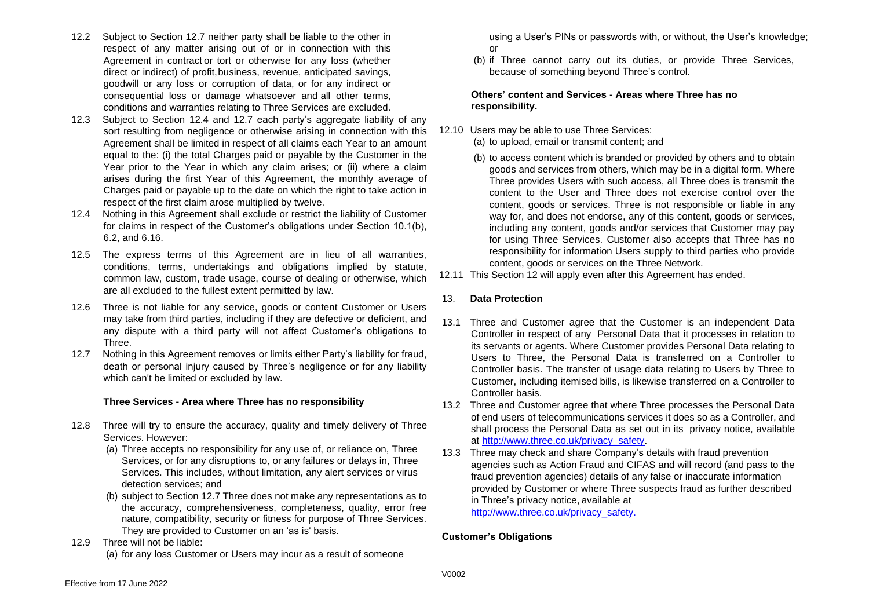- 12.2 Subject to Section [12.7 n](#page-9-0)either party shall be liable to the other in respect of any matter arising out of or in connection with this Agreement in contract or tort or otherwise for any loss (whether direct or indirect) of profit,business, revenue, anticipated savings, goodwill or any loss or corruption of data, or for any indirect or consequential loss or damage whatsoever and all other terms, conditions and warranties relating to Three Services are excluded.
- 12.3 Subject to Section [12.4 a](#page-9-1)nd [12.7 e](#page-9-0)ach party's aggregate liability of any sort resulting from negligence or otherwise arising in connection with this Agreement shall be limited in respect of all claims each Year to an amount equal to the: (i) the total Charges paid or payable by the Customer in the Year prior to the Year in which any claim arises; or (ii) where a claim arises during the first Year of this Agreement, the monthly average of Charges paid or payable up to the date on which the right to take action in respect of the first claim arose multiplied by twelve.
- <span id="page-9-1"></span>12.4 Nothing in this Agreement shall exclude or restrict the liability of Customer for claims in respect of the Customer's obligations under Section 10.1(b), 6.2, and [6.16.](#page-6-2)
- 12.5 The express terms of this Agreement are in lieu of all warranties, conditions, terms, undertakings and obligations implied by statute, common law, custom, trade usage, course of dealing or otherwise, which are all excluded to the fullest extent permitted by law.
- 12.6 Three is not liable for any service, goods or content Customer or Users may take from third parties, including if they are defective or deficient, and any dispute with a third party will not affect Customer's obligations to Three.
- <span id="page-9-2"></span>12.7 Nothing in this Agreement removes or limits either Party's liability for fraud, death or personal injury caused by Three's negligence or for any liability which can't be limited or excluded by law.

#### <span id="page-9-0"></span>**Three Services - Area where Three has no responsibility**

- 12.8 Three will try to ensure the accuracy, quality and timely delivery of Three Services. However:
	- (a) Three accepts no responsibility for any use of, or reliance on, Three Services, or for any disruptions to, or any failures or delays in, Three Services. This includes, without limitation, any alert services or virus detection services; and
	- (b) subject to Section [12.7](#page-9-2) Three does not make any representations as to the accuracy, comprehensiveness, completeness, quality, error free nature, compatibility, security or fitness for purpose of Three Services. They are provided to Customer on an 'as is' basis.
- 12.9 Three will not be liable: (a) for any loss Customer or Users may incur as a result of someone

using a User's PINs or passwords with, or without, the User's knowledge; or

(b) if Three cannot carry out its duties, or provide Three Services, because of something beyond Three's control.

#### **Others' content and Services - Areas where Three has no responsibility.**

- 12.10 Users may be able to use Three Services: (a) to upload, email or transmit content; and
	- (b) to access content which is branded or provided by others and to obtain goods and services from others, which may be in a digital form. Where Three provides Users with such access, all Three does is transmit the content to the User and Three does not exercise control over the content, goods or services. Three is not responsible or liable in any way for, and does not endorse, any of this content, goods or services, including any content, goods and/or services that Customer may pay for using Three Services. Customer also accepts that Three has no responsibility for information Users supply to third parties who provide content, goods or services on the Three Network.
- 12.11 This Section 12 will apply even after this Agreement has ended.

#### 13. **Data Protection**

- 13.1 Three and Customer agree that the Customer is an independent Data Controller in respect of any Personal Data that it processes in relation to its servants or agents. Where Customer provides Personal Data relating to Users to Three, the Personal Data is transferred on a Controller to Controller basis. The transfer of usage data relating to Users by Three to Customer, including itemised bills, is likewise transferred on a Controller to Controller basis.
- 13.2 Three and Customer agree that where Three processes the Personal Data of end users of telecommunications services it does so as a Controller, and shall process the Personal Data as set out in its privacy notice, available at [http://www.three.co.uk/privacy\\_safety.](http://www.three.co.uk/privacy_safety)
- 13.3 Three may check and share Company's details with fraud prevention agencies such as Action Fraud and CIFAS and will record (and pass to the fraud prevention agencies) details of any false or inaccurate information provided by Customer or where Three suspects fraud as further described in Three's privacy notice, available at [http://www.three.co.uk/privacy\\_safety.](http://www.three.co.uk/privacy_safety.)

#### **Customer's Obligations**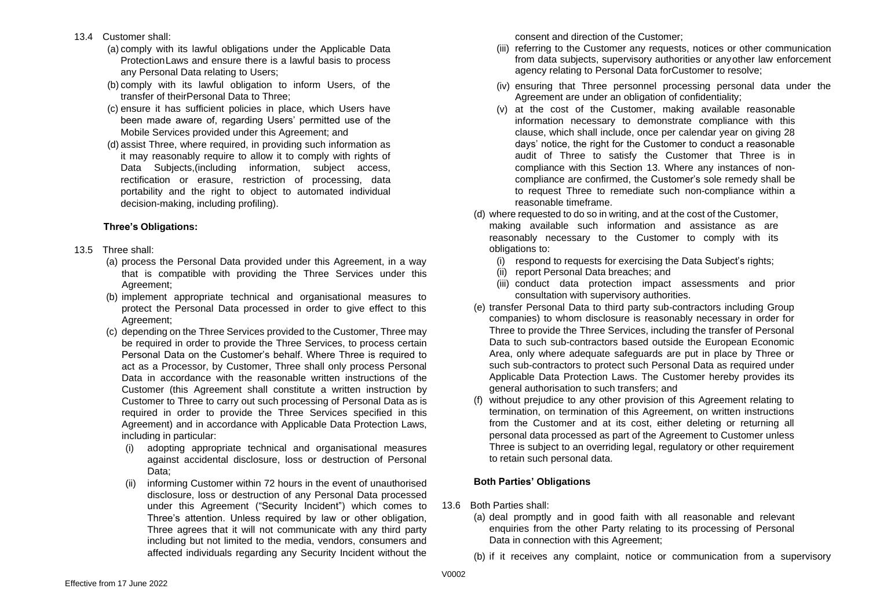- 13.4 Customer shall:
	- (a) comply with its lawful obligations under the Applicable Data ProtectionLaws and ensure there is a lawful basis to process any Personal Data relating to Users;
	- (b) comply with its lawful obligation to inform Users, of the transfer of theirPersonal Data to Three;
	- (c) ensure it has sufficient policies in place, which Users have been made aware of, regarding Users' permitted use of the Mobile Services provided under this Agreement; and
	- (d) assist Three, where required, in providing such information as it may reasonably require to allow it to comply with rights of Data Subjects,(including information, subject access, rectification or erasure, restriction of processing, data portability and the right to object to automated individual decision-making, including profiling).

#### **Three's Obligations:**

- 13.5 Three shall:
	- (a) process the Personal Data provided under this Agreement, in a way that is compatible with providing the Three Services under this Agreement;
	- (b) implement appropriate technical and organisational measures to protect the Personal Data processed in order to give effect to this Agreement;
	- (c) depending on the Three Services provided to the Customer, Three may be required in order to provide the Three Services, to process certain Personal Data on the Customer's behalf. Where Three is required to act as a Processor, by Customer, Three shall only process Personal Data in accordance with the reasonable written instructions of the Customer (this Agreement shall constitute a written instruction by Customer to Three to carry out such processing of Personal Data as is required in order to provide the Three Services specified in this Agreement) and in accordance with Applicable Data Protection Laws, including in particular:
		- (i) adopting appropriate technical and organisational measures against accidental disclosure, loss or destruction of Personal Data;
		- (ii) informing Customer within 72 hours in the event of unauthorised disclosure, loss or destruction of any Personal Data processed under this Agreement ("Security Incident") which comes to Three's attention. Unless required by law or other obligation, Three agrees that it will not communicate with any third party including but not limited to the media, vendors, consumers and affected individuals regarding any Security Incident without the

consent and direction of the Customer;

- (iii) referring to the Customer any requests, notices or other communication from data subjects, supervisory authorities or anyother law enforcement agency relating to Personal Data forCustomer to resolve;
- (iv) ensuring that Three personnel processing personal data under the Agreement are under an obligation of confidentiality;
- (v) at the cost of the Customer, making available reasonable information necessary to demonstrate compliance with this clause, which shall include, once per calendar year on giving 28 days' notice, the right for the Customer to conduct a reasonable audit of Three to satisfy the Customer that Three is in compliance with this Section 13. Where any instances of noncompliance are confirmed, the Customer's sole remedy shall be to request Three to remediate such non-compliance within a reasonable timeframe.
- (d) where requested to do so in writing, and at the cost of the Customer, making available such information and assistance as are reasonably necessary to the Customer to comply with its obligations to:
	- (i) respond to requests for exercising the Data Subject's rights;
	- (ii) report Personal Data breaches; and
	- (iii) conduct data protection impact assessments and prior consultation with supervisory authorities.
- (e) transfer Personal Data to third party sub-contractors including Group companies) to whom disclosure is reasonably necessary in order for Three to provide the Three Services, including the transfer of Personal Data to such sub-contractors based outside the European Economic Area, only where adequate safeguards are put in place by Three or such sub-contractors to protect such Personal Data as required under Applicable Data Protection Laws. The Customer hereby provides its general authorisation to such transfers; and
- (f) without prejudice to any other provision of this Agreement relating to termination, on termination of this Agreement, on written instructions from the Customer and at its cost, either deleting or returning all personal data processed as part of the Agreement to Customer unless Three is subject to an overriding legal, regulatory or other requirement to retain such personal data.

#### **Both Parties' Obligations**

- 13.6 Both Parties shall:
	- (a) deal promptly and in good faith with all reasonable and relevant enquiries from the other Party relating to its processing of Personal Data in connection with this Agreement;
	- (b) if it receives any complaint, notice or communication from a supervisory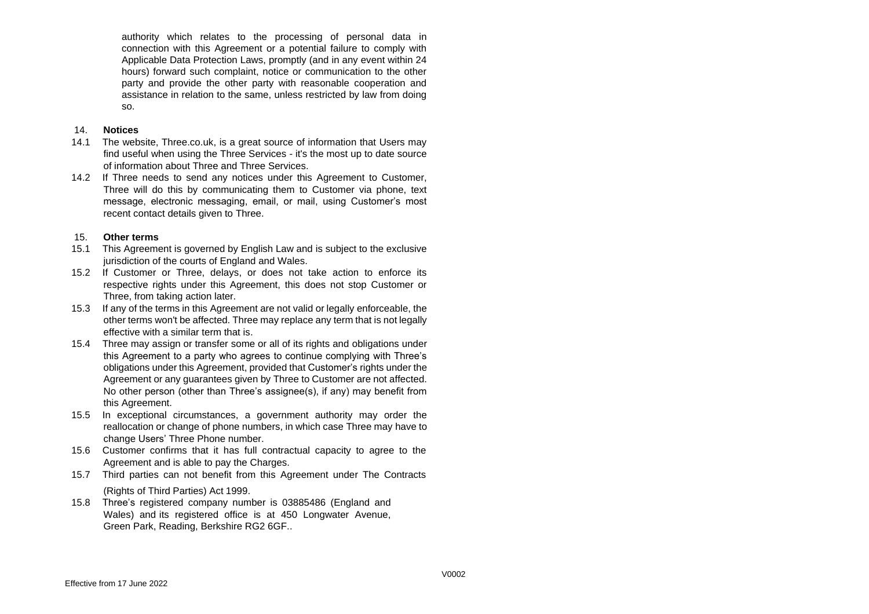authority which relates to the processing of personal data in connection with this Agreement or a potential failure to comply with Applicable Data Protection Laws, promptly (and in any event within 24 hours) forward such complaint, notice or communication to the other party and provide the other party with reasonable cooperation and assistance in relation to the same, unless restricted by law from doing so.

#### 14. **Notices**

- 14.1 The website, Three.co.uk, is a great source of information that Users may find useful when using the Three Services - it's the most up to date source of information about Three and Three Services.
- 14.2 If Three needs to send any notices under this Agreement to Customer, Three will do this by communicating them to Customer via phone, text message, electronic messaging, email, or mail, using Customer's most recent contact details given to Three.

#### 15. **Other terms**

- 15.1 This Agreement is governed by English Law and is subject to the exclusive jurisdiction of the courts of England and Wales.
- 15.2 If Customer or Three, delays, or does not take action to enforce its respective rights under this Agreement, this does not stop Customer or Three, from taking action later.
- 15.3 If any of the terms in this Agreement are not valid or legally enforceable, the other terms won't be affected. Three may replace any term that is not legally effective with a similar term that is.
- 15.4 Three may assign or transfer some or all of its rights and obligations under this Agreement to a party who agrees to continue complying with Three's obligations under this Agreement, provided that Customer's rights under the Agreement or any guarantees given by Three to Customer are not affected. No other person (other than Three's assignee(s), if any) may benefit from this Agreement.
- 15.5 In exceptional circumstances, a government authority may order the reallocation or change of phone numbers, in which case Three may have to change Users' Three Phone number.
- 15.6 Customer confirms that it has full contractual capacity to agree to the Agreement and is able to pay the Charges.
- 15.7 Third parties can not benefit from this Agreement under The Contracts (Rights of Third Parties) Act 1999.
- 15.8 Three's registered company number is 03885486 (England and Wales) and its registered office is at 450 Longwater Avenue, Green Park, Reading, Berkshire RG2 6GF..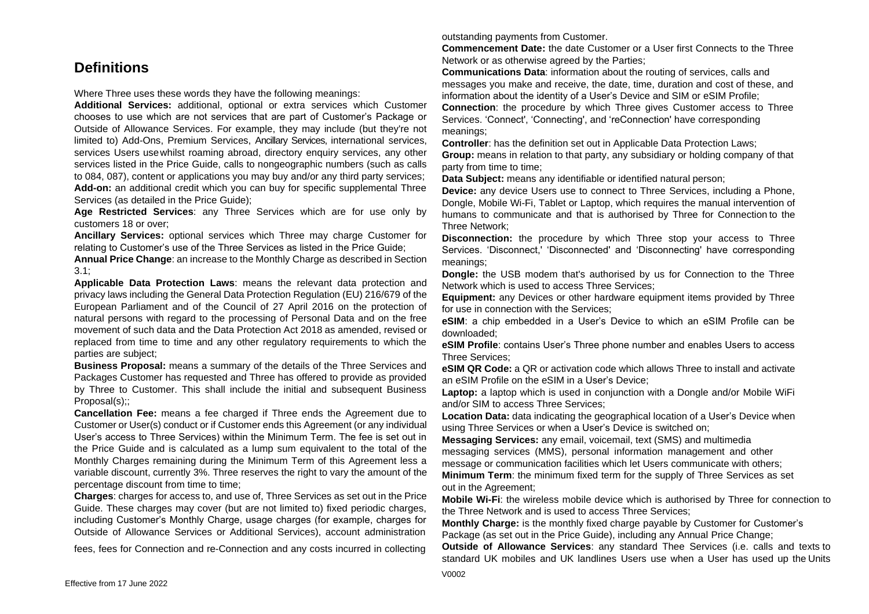## **Definitions**

Where Three uses these words they have the following meanings:

**Additional Services:** additional, optional or extra services which Customer chooses to use which are not services that are part of Customer's Package or Outside of Allowance Services. For example, they may include (but they're not limited to) Add-Ons, Premium Services, Ancillary Services, international services, services Users usewhilst roaming abroad, directory enquiry services, any other services listed in the Price Guide, calls to nongeographic numbers (such as calls to 084, 087), content or applications you may buy and/or any third party services; **Add-on:** an additional credit which you can buy for specific supplemental Three Services (as detailed in the Price Guide);

**Age Restricted Services**: any Three Services which are for use only by customers 18 or over;

**Ancillary Services:** optional services which Three may charge Customer for relating to Customer's use of the Three Services as listed in the Price Guide;

**Annual Price Change**: an increase to the Monthly Charge as described in Section [3.1;](#page-2-0)

**Applicable Data Protection Laws**: means the relevant data protection and privacy laws including the General Data Protection Regulation (EU) 216/679 of the European Parliament and of the Council of 27 April 2016 on the protection of natural persons with regard to the processing of Personal Data and on the free movement of such data and the Data Protection Act 2018 as amended, revised or replaced from time to time and any other regulatory requirements to which the parties are subject;

**Business Proposal:** means a summary of the details of the Three Services and Packages Customer has requested and Three has offered to provide as provided by Three to Customer. This shall include the initial and subsequent Business Proposal(s)::

**Cancellation Fee:** means a fee charged if Three ends the Agreement due to Customer or User(s) conduct or if Customer ends this Agreement (or any individual User's access to Three Services) within the Minimum Term. The fee is set out in the Price Guide and is calculated as a lump sum equivalent to the total of the Monthly Charges remaining during the Minimum Term of this Agreement less a variable discount, currently 3%. Three reserves the right to vary the amount of the percentage discount from time to time;

**Charges**: charges for access to, and use of, Three Services as set out in the Price Guide. These charges may cover (but are not limited to) fixed periodic charges, including Customer's Monthly Charge, usage charges (for example, charges for Outside of Allowance Services or Additional Services), account administration

fees, fees for Connection and re-Connection and any costs incurred in collecting

outstanding payments from Customer.

**Commencement Date:** the date Customer or a User first Connects to the Three Network or as otherwise agreed by the Parties;

**Communications Data**: information about the routing of services, calls and messages you make and receive, the date, time, duration and cost of these, and information about the identity of a User's Device and SIM or eSIM Profile;

**Connection**: the procedure by which Three gives Customer access to Three Services. 'Connect', 'Connecting', and 'reConnection' have corresponding meanings;

**Controller**: has the definition set out in Applicable Data Protection Laws;

**Group:** means in relation to that party, any subsidiary or holding company of that party from time to time:

**Data Subject:** means any identifiable or identified natural person;

**Device:** any device Users use to connect to Three Services, including a Phone, Dongle, Mobile Wi-Fi, Tablet or Laptop, which requires the manual intervention of humans to communicate and that is authorised by Three for Connection to the Three Network;

**Disconnection:** the procedure by which Three stop your access to Three Services. 'Disconnect,' 'Disconnected' and 'Disconnecting' have corresponding meanings;

**Dongle:** the USB modem that's authorised by us for Connection to the Three Network which is used to access Three Services;

**Equipment:** any Devices or other hardware equipment items provided by Three for use in connection with the Services;

**eSIM**: a chip embedded in a User's Device to which an eSIM Profile can be downloaded;

**eSIM Profile**: contains User's Three phone number and enables Users to access Three Services;

**eSIM QR Code:** a QR or activation code which allows Three to install and activate an eSIM Profile on the eSIM in a User's Device;

**Laptop:** a laptop which is used in conjunction with a Dongle and/or Mobile WiFi and/or SIM to access Three Services;

**Location Data:** data indicating the geographical location of a User's Device when using Three Services or when a User's Device is switched on;

**Messaging Services:** any email, voicemail, text (SMS) and multimedia messaging services (MMS), personal information management and other message or communication facilities which let Users communicate with others;

**Minimum Term**: the minimum fixed term for the supply of Three Services as set out in the Agreement;

**Mobile Wi-Fi**: the wireless mobile device which is authorised by Three for connection to the Three Network and is used to access Three Services;

**Monthly Charge:** is the monthly fixed charge payable by Customer for Customer's Package (as set out in the Price Guide), including any Annual Price Change;

**Outside of Allowance Services**: any standard Thee Services (i.e. calls and texts to standard UK mobiles and UK landlines Users use when a User has used up the Units